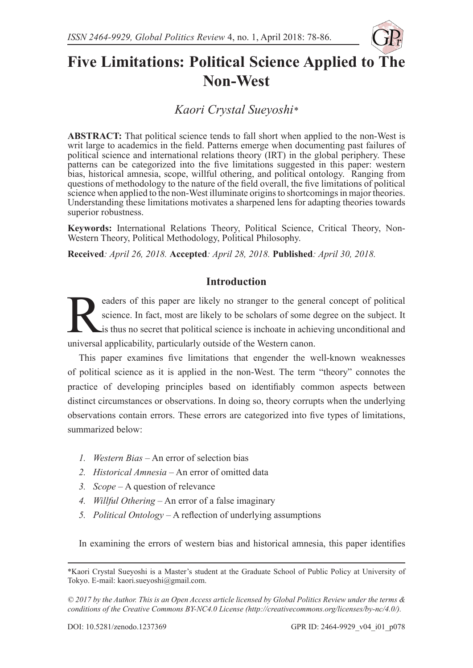

# **Five Limitations: Political Science Applied to The Non-West**

*Kaori Crystal Sueyoshi\**

**ABSTRACT:** That political science tends to fall short when applied to the non-West is writ large to academics in the field. Patterns emerge when documenting past failures of political science and international relations theory (IRT) in the global periphery. These patterns can be categorized into the five limitations suggested in this paper: western bias, historical amnesia, scope, willful othering, and political ontology. Ranging from questions of methodology to the nature of the field overall, the five limitations of political science when applied to the non-West illuminate origins to shortcomings in major theories. Understanding these limitations motivates a sharpened lens for adapting theories towards superior robustness.

**Keywords:** International Relations Theory, Political Science, Critical Theory, Non-Western Theory, Political Methodology, Political Philosophy.

**Received***: April 26, 2018.* **Accepted***: April 28, 2018.* **Published***: April 30, 2018.*

## **Introduction**

Expedience. In fact, most are likely no stranger to the general concept of political<br>science. In fact, most are likely to be scholars of some degree on the subject. It<br>is thus no secret that political science is inchoate i science. In fact, most are likely to be scholars of some degree on the subject. It is thus no secret that political science is inchoate in achieving unconditional and universal applicability, particularly outside of the Western canon.

This paper examines five limitations that engender the well-known weaknesses of political science as it is applied in the non-West. The term "theory" connotes the practice of developing principles based on identifiably common aspects between distinct circumstances or observations. In doing so, theory corrupts when the underlying observations contain errors. These errors are categorized into five types of limitations, summarized below:

- *1. Western Bias* An error of selection bias
- *2. Historical Amnesia* An error of omitted data
- *3. Scope* A question of relevance
- *4. Willful Othering* An error of a false imaginary
- *5. Political Ontology* A reflection of underlying assumptions

In examining the errors of western bias and historical amnesia, this paper identifies

<sup>\*</sup>Kaori Crystal Sueyoshi is a Master's student at the Graduate School of Public Policy at University of Tokyo. E-mail: kaori.sueyoshi@gmail.com.

*<sup>© 2017</sup> by the Author. This is an Open Access article licensed by Global Politics Review under the terms & conditions of the Creative Commons BY-NC4.0 License (http://creativecommons.org/licenses/by-nc/4.0/).*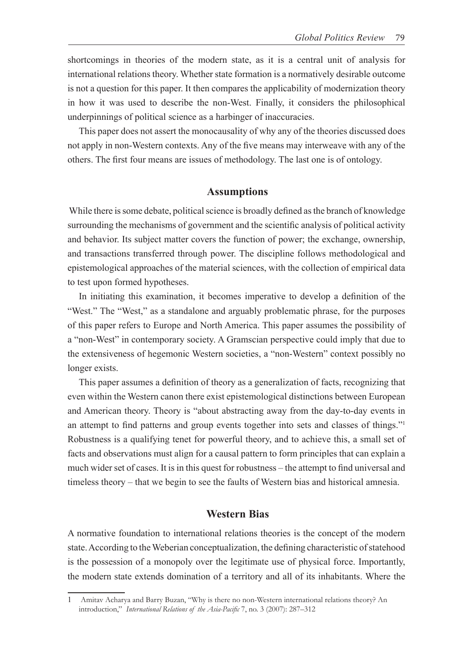shortcomings in theories of the modern state, as it is a central unit of analysis for international relations theory. Whether state formation is a normatively desirable outcome is not a question for this paper. It then compares the applicability of modernization theory in how it was used to describe the non-West. Finally, it considers the philosophical underpinnings of political science as a harbinger of inaccuracies.

This paper does not assert the monocausality of why any of the theories discussed does not apply in non-Western contexts. Any of the five means may interweave with any of the others. The first four means are issues of methodology. The last one is of ontology.

#### **Assumptions**

 While there is some debate, political science is broadly defined as the branch of knowledge surrounding the mechanisms of government and the scientific analysis of political activity and behavior. Its subject matter covers the function of power; the exchange, ownership, and transactions transferred through power. The discipline follows methodological and epistemological approaches of the material sciences, with the collection of empirical data to test upon formed hypotheses.

In initiating this examination, it becomes imperative to develop a definition of the "West." The "West," as a standalone and arguably problematic phrase, for the purposes of this paper refers to Europe and North America. This paper assumes the possibility of a "non-West" in contemporary society. A Gramscian perspective could imply that due to the extensiveness of hegemonic Western societies, a "non-Western" context possibly no longer exists.

This paper assumes a definition of theory as a generalization of facts, recognizing that even within the Western canon there exist epistemological distinctions between European and American theory. Theory is "about abstracting away from the day-to-day events in an attempt to find patterns and group events together into sets and classes of things."<sup>1</sup> Robustness is a qualifying tenet for powerful theory, and to achieve this, a small set of facts and observations must align for a causal pattern to form principles that can explain a much wider set of cases. It is in this quest for robustness – the attempt to find universal and timeless theory – that we begin to see the faults of Western bias and historical amnesia.

#### **Western Bias**

A normative foundation to international relations theories is the concept of the modern state. According to the Weberian conceptualization, the defining characteristic of statehood is the possession of a monopoly over the legitimate use of physical force. Importantly, the modern state extends domination of a territory and all of its inhabitants. Where the

<sup>1</sup> Amitav Acharya and Barry Buzan, "Why is there no non-Western international relations theory? An introduction," *International Relations of the Asia-Pacific* 7, no. 3 (2007): 287–312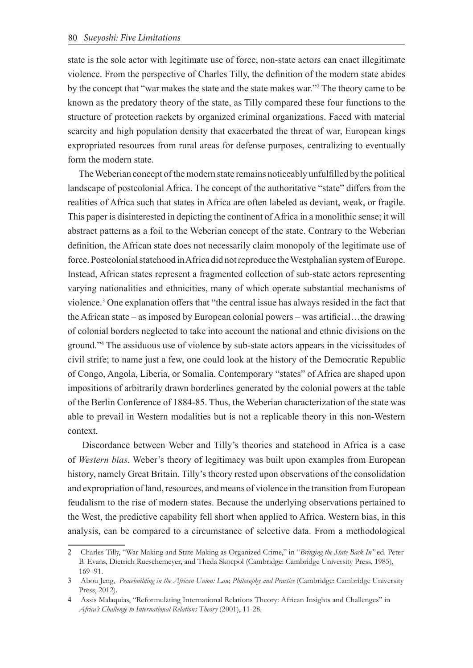state is the sole actor with legitimate use of force, non-state actors can enact illegitimate violence. From the perspective of Charles Tilly, the definition of the modern state abides by the concept that "war makes the state and the state makes war."2 The theory came to be known as the predatory theory of the state, as Tilly compared these four functions to the structure of protection rackets by organized criminal organizations. Faced with material scarcity and high population density that exacerbated the threat of war, European kings expropriated resources from rural areas for defense purposes, centralizing to eventually form the modern state.

The Weberian concept of the modern state remains noticeably unfulfilled by the political landscape of postcolonial Africa. The concept of the authoritative "state" differs from the realities of Africa such that states in Africa are often labeled as deviant, weak, or fragile. This paper is disinterested in depicting the continent of Africa in a monolithic sense; it will abstract patterns as a foil to the Weberian concept of the state. Contrary to the Weberian definition, the African state does not necessarily claim monopoly of the legitimate use of force. Postcolonial statehood in Africa did not reproduce the Westphalian system of Europe. Instead, African states represent a fragmented collection of sub-state actors representing varying nationalities and ethnicities, many of which operate substantial mechanisms of violence.<sup>3</sup> One explanation offers that "the central issue has always resided in the fact that the African state – as imposed by European colonial powers – was artificial…the drawing of colonial borders neglected to take into account the national and ethnic divisions on the ground."4 The assiduous use of violence by sub-state actors appears in the vicissitudes of civil strife; to name just a few, one could look at the history of the Democratic Republic of Congo, Angola, Liberia, or Somalia. Contemporary "states" of Africa are shaped upon impositions of arbitrarily drawn borderlines generated by the colonial powers at the table of the Berlin Conference of 1884-85. Thus, the Weberian characterization of the state was able to prevail in Western modalities but is not a replicable theory in this non-Western context.

 Discordance between Weber and Tilly's theories and statehood in Africa is a case of *Western bias*. Weber's theory of legitimacy was built upon examples from European history, namely Great Britain. Tilly's theory rested upon observations of the consolidation and expropriation of land, resources, and means of violence in the transition from European feudalism to the rise of modern states. Because the underlying observations pertained to the West, the predictive capability fell short when applied to Africa. Western bias, in this analysis, can be compared to a circumstance of selective data. From a methodological

<sup>2</sup> Charles Tilly, "War Making and State Making as Organized Crime," in "*Bringing the State Back In"* ed. Peter B. Evans, Dietrich Rueschemeyer, and Theda Skocpol (Cambridge: Cambridge University Press, 1985), 169–91.

<sup>3</sup> Abou Jeng, *Peacebuilding in the African Union: Law, Philosophy and Practice* (Cambridge: Cambridge University Press, 2012).

<sup>4</sup> Assis Malaquias, "Reformulating International Relations Theory: African Insights and Challenges" in *Africa's Challenge to International Relations Theory* (2001), 11-28.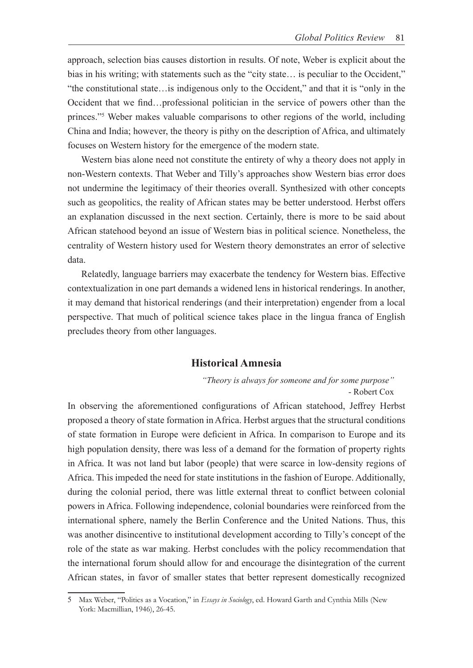approach, selection bias causes distortion in results. Of note, Weber is explicit about the bias in his writing; with statements such as the "city state... is peculiar to the Occident," "the constitutional state…is indigenous only to the Occident," and that it is "only in the Occident that we find…professional politician in the service of powers other than the princes."5 Weber makes valuable comparisons to other regions of the world, including China and India; however, the theory is pithy on the description of Africa, and ultimately focuses on Western history for the emergence of the modern state.

 Western bias alone need not constitute the entirety of why a theory does not apply in non-Western contexts. That Weber and Tilly's approaches show Western bias error does not undermine the legitimacy of their theories overall. Synthesized with other concepts such as geopolitics, the reality of African states may be better understood. Herbst offers an explanation discussed in the next section. Certainly, there is more to be said about African statehood beyond an issue of Western bias in political science. Nonetheless, the centrality of Western history used for Western theory demonstrates an error of selective data.

 Relatedly, language barriers may exacerbate the tendency for Western bias. Effective contextualization in one part demands a widened lens in historical renderings. In another, it may demand that historical renderings (and their interpretation) engender from a local perspective. That much of political science takes place in the lingua franca of English precludes theory from other languages.

#### **Historical Amnesia**

*"Theory is always for someone and for some purpose"* - Robert Cox

In observing the aforementioned configurations of African statehood, Jeffrey Herbst proposed a theory of state formation in Africa. Herbst argues that the structural conditions of state formation in Europe were deficient in Africa. In comparison to Europe and its high population density, there was less of a demand for the formation of property rights in Africa. It was not land but labor (people) that were scarce in low-density regions of Africa. This impeded the need for state institutions in the fashion of Europe. Additionally, during the colonial period, there was little external threat to conflict between colonial powers in Africa. Following independence, colonial boundaries were reinforced from the international sphere, namely the Berlin Conference and the United Nations. Thus, this was another disincentive to institutional development according to Tilly's concept of the role of the state as war making. Herbst concludes with the policy recommendation that the international forum should allow for and encourage the disintegration of the current African states, in favor of smaller states that better represent domestically recognized

<sup>5</sup> Max Weber, "Politics as a Vocation," in *Essays in Sociology*, ed. Howard Garth and Cynthia Mills (New York: Macmillian, 1946), 26-45.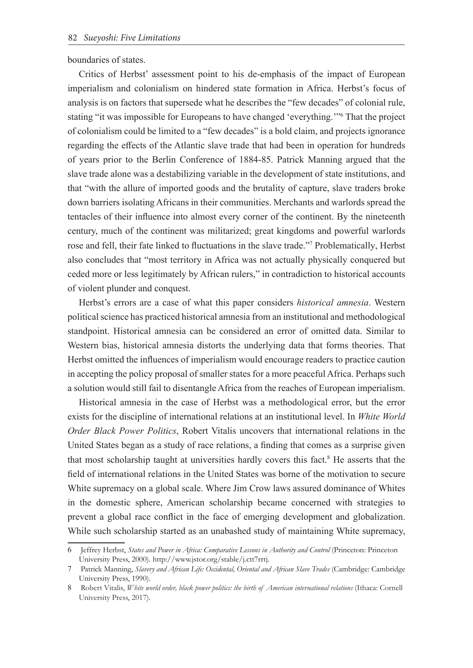boundaries of states.

Critics of Herbst' assessment point to his de-emphasis of the impact of European imperialism and colonialism on hindered state formation in Africa. Herbst's focus of analysis is on factors that supersede what he describes the "few decades" of colonial rule, stating "it was impossible for Europeans to have changed 'everything.'"6 That the project of colonialism could be limited to a "few decades" is a bold claim, and projects ignorance regarding the effects of the Atlantic slave trade that had been in operation for hundreds of years prior to the Berlin Conference of 1884-85. Patrick Manning argued that the slave trade alone was a destabilizing variable in the development of state institutions, and that "with the allure of imported goods and the brutality of capture, slave traders broke down barriers isolating Africans in their communities. Merchants and warlords spread the tentacles of their influence into almost every corner of the continent. By the nineteenth century, much of the continent was militarized; great kingdoms and powerful warlords rose and fell, their fate linked to fluctuations in the slave trade."<sup>7</sup> Problematically, Herbst also concludes that "most territory in Africa was not actually physically conquered but ceded more or less legitimately by African rulers," in contradiction to historical accounts of violent plunder and conquest.

Herbst's errors are a case of what this paper considers *historical amnesia*. Western political science has practiced historical amnesia from an institutional and methodological standpoint. Historical amnesia can be considered an error of omitted data. Similar to Western bias, historical amnesia distorts the underlying data that forms theories. That Herbst omitted the influences of imperialism would encourage readers to practice caution in accepting the policy proposal of smaller states for a more peaceful Africa. Perhaps such a solution would still fail to disentangle Africa from the reaches of European imperialism.

Historical amnesia in the case of Herbst was a methodological error, but the error exists for the discipline of international relations at an institutional level. In *White World Order Black Power Politics*, Robert Vitalis uncovers that international relations in the United States began as a study of race relations, a finding that comes as a surprise given that most scholarship taught at universities hardly covers this fact.<sup>8</sup> He asserts that the field of international relations in the United States was borne of the motivation to secure White supremacy on a global scale. Where Jim Crow laws assured dominance of Whites in the domestic sphere, American scholarship became concerned with strategies to prevent a global race conflict in the face of emerging development and globalization. While such scholarship started as an unabashed study of maintaining White supremacy,

<sup>6</sup> Jeffrey Herbst, *States and Power in Africa: Comparative Lessons in Authority and Control* (Princeton: Princeton University Press, 2000). http://www.jstor.org/stable/j.ctt7rrtj.

<sup>7</sup> Patrick Manning, *Slavery and African Life: Occidental, Oriental and African Slave Trades* (Cambridge: Cambridge University Press, 1990).

<sup>8</sup> Robert Vitalis, *White world order, black power politics: the birth of American international relations* (Ithaca: Cornell University Press, 2017).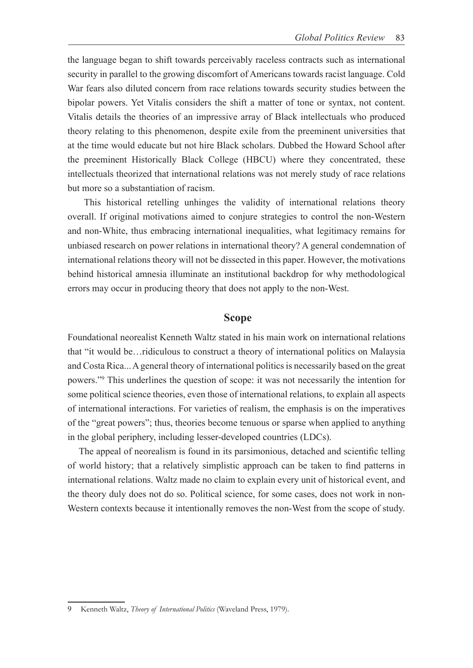the language began to shift towards perceivably raceless contracts such as international security in parallel to the growing discomfort of Americans towards racist language. Cold War fears also diluted concern from race relations towards security studies between the bipolar powers. Yet Vitalis considers the shift a matter of tone or syntax, not content. Vitalis details the theories of an impressive array of Black intellectuals who produced theory relating to this phenomenon, despite exile from the preeminent universities that at the time would educate but not hire Black scholars. Dubbed the Howard School after the preeminent Historically Black College (HBCU) where they concentrated, these intellectuals theorized that international relations was not merely study of race relations but more so a substantiation of racism.

 This historical retelling unhinges the validity of international relations theory overall. If original motivations aimed to conjure strategies to control the non-Western and non-White, thus embracing international inequalities, what legitimacy remains for unbiased research on power relations in international theory? A general condemnation of international relations theory will not be dissected in this paper. However, the motivations behind historical amnesia illuminate an institutional backdrop for why methodological errors may occur in producing theory that does not apply to the non-West.

#### **Scope**

Foundational neorealist Kenneth Waltz stated in his main work on international relations that "it would be…ridiculous to construct a theory of international politics on Malaysia and Costa Rica... A general theory of international politics is necessarily based on the great powers."9 This underlines the question of scope: it was not necessarily the intention for some political science theories, even those of international relations, to explain all aspects of international interactions. For varieties of realism, the emphasis is on the imperatives of the "great powers"; thus, theories become tenuous or sparse when applied to anything in the global periphery, including lesser-developed countries (LDCs).

The appeal of neorealism is found in its parsimonious, detached and scientific telling of world history; that a relatively simplistic approach can be taken to find patterns in international relations. Waltz made no claim to explain every unit of historical event, and the theory duly does not do so. Political science, for some cases, does not work in non-Western contexts because it intentionally removes the non-West from the scope of study.

<sup>9</sup> Kenneth Waltz, *Theory of International Politics* (Waveland Press, 1979).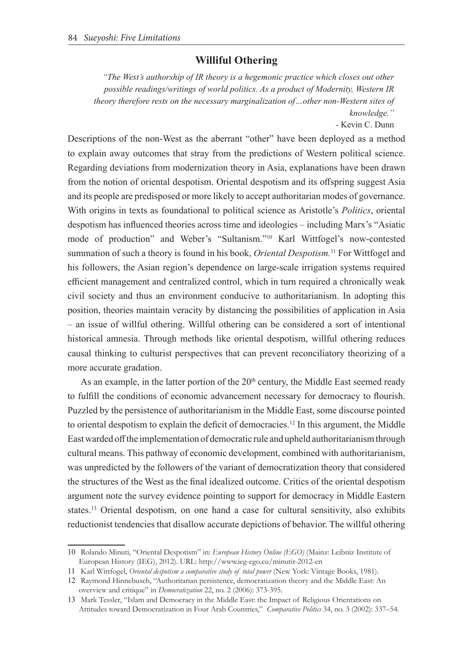## **Williful Othering**

*"The West's authorship of IR theory is a hegemonic practice which closes out other possible readings/writings of world politics. As a product of Modernity, Western IR theory therefore rests on the necessary marginalization of…other non-Western sites of knowledge."*

*-* Kevin C. Dunn

Descriptions of the non-West as the aberrant "other" have been deployed as a method to explain away outcomes that stray from the predictions of Western political science. Regarding deviations from modernization theory in Asia, explanations have been drawn from the notion of oriental despotism. Oriental despotism and its offspring suggest Asia and its people are predisposed or more likely to accept authoritarian modes of governance. With origins in texts as foundational to political science as Aristotle's *Politics*, oriental despotism has influenced theories across time and ideologies – including Marx's "Asiatic mode of production" and Weber's "Sultanism."10 Karl Wittfogel's now-contested summation of such a theory is found in his book, *Oriental Despotism.*11 For Wittfogel and his followers, the Asian region's dependence on large-scale irrigation systems required efficient management and centralized control, which in turn required a chronically weak civil society and thus an environment conducive to authoritarianism. In adopting this position, theories maintain veracity by distancing the possibilities of application in Asia – an issue of willful othering. Willful othering can be considered a sort of intentional historical amnesia. Through methods like oriental despotism, willful othering reduces causal thinking to culturist perspectives that can prevent reconciliatory theorizing of a more accurate gradation.

As an example, in the latter portion of the  $20<sup>th</sup>$  century, the Middle East seemed ready to fulfill the conditions of economic advancement necessary for democracy to flourish. Puzzled by the persistence of authoritarianism in the Middle East, some discourse pointed to oriental despotism to explain the deficit of democracies.12 In this argument, the Middle East warded off the implementation of democratic rule and upheld authoritarianism through cultural means. This pathway of economic development, combined with authoritarianism, was unpredicted by the followers of the variant of democratization theory that considered the structures of the West as the final idealized outcome. Critics of the oriental despotism argument note the survey evidence pointing to support for democracy in Middle Eastern states.<sup>13</sup> Oriental despotism, on one hand a case for cultural sensitivity, also exhibits reductionist tendencies that disallow accurate depictions of behavior. The willful othering

<sup>10</sup> Rolando Minuti, "Oriental Despotism" in: *European History Online (EGO)* (Mainz: Leibniz Institute of European History (IEG), 2012). URL: http://www.ieg-ego.eu/minutir-2012-en

<sup>11</sup> Karl Wittfogel, *Oriental despotism a comparative study of total power* (New York: Vintage Books, 1981).

<sup>12</sup> Raymond Hinnebusch, "Authoritarian persistence, democratization theory and the Middle East: An overview and critique" in *Democratization* 22, no. 2 (2006): 373-395.

<sup>13</sup> Mark Tessler, "Islam and Democracy in the Middle East: the Impact of Religious Orientations on Attitudes toward Democratization in Four Arab Countries," *Comparative Politics* 34, no. 3 (2002): 337–54.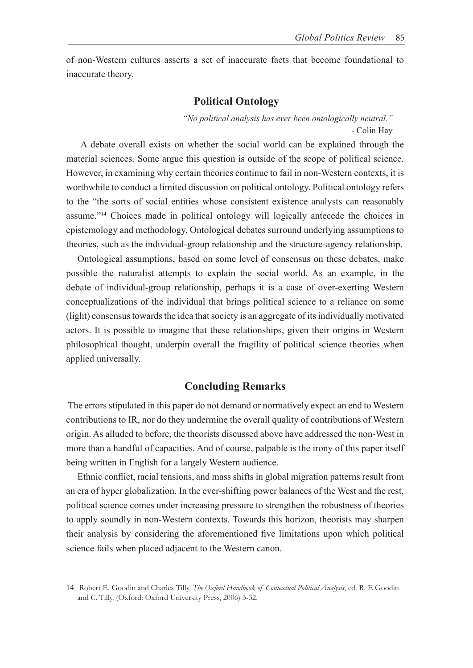of non-Western cultures asserts a set of inaccurate facts that become foundational to inaccurate theory.

#### **Political Ontology**

*"No political analysis has ever been ontologically neutral."* - Colin Hay

 A debate overall exists on whether the social world can be explained through the material sciences. Some argue this question is outside of the scope of political science. However, in examining why certain theories continue to fail in non-Western contexts, it is worthwhile to conduct a limited discussion on political ontology. Political ontology refers to the "the sorts of social entities whose consistent existence analysts can reasonably assume."14 Choices made in political ontology will logically antecede the choices in epistemology and methodology. Ontological debates surround underlying assumptions to theories, such as the individual-group relationship and the structure-agency relationship.

Ontological assumptions, based on some level of consensus on these debates, make possible the naturalist attempts to explain the social world. As an example, in the debate of individual-group relationship, perhaps it is a case of over-exerting Western conceptualizations of the individual that brings political science to a reliance on some (light) consensus towards the idea that society is an aggregate of its individually motivated actors. It is possible to imagine that these relationships, given their origins in Western philosophical thought, underpin overall the fragility of political science theories when applied universally.

## **Concluding Remarks**

 The errors stipulated in this paper do not demand or normatively expect an end to Western contributions to IR, nor do they undermine the overall quality of contributions of Western origin. As alluded to before, the theorists discussed above have addressed the non-West in more than a handful of capacities. And of course, palpable is the irony of this paper itself being written in English for a largely Western audience.

Ethnic conflict, racial tensions, and mass shifts in global migration patterns result from an era of hyper globalization. In the ever-shifting power balances of the West and the rest, political science comes under increasing pressure to strengthen the robustness of theories to apply soundly in non-Western contexts. Towards this horizon, theorists may sharpen their analysis by considering the aforementioned five limitations upon which political science fails when placed adjacent to the Western canon.

<sup>14</sup> Robert E. Goodin and Charles Tilly, *The Oxford Handbook of Contextual Political Analysis*, ed. R. E Goodin and C. Tilly. (Oxford: Oxford University Press, 2006) 3-32.